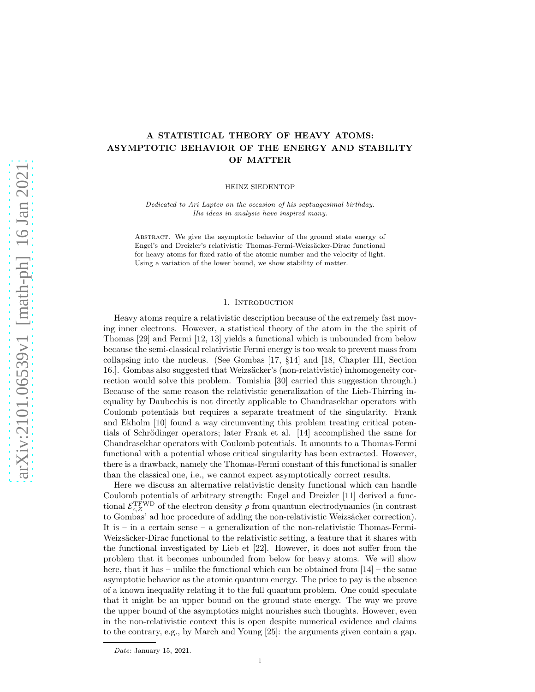# A STATISTICAL THEORY OF HEAVY ATOMS: ASYMPTOTIC BEHAVIOR OF THE ENERGY AND STABILITY OF MATTER

HEINZ SIEDENTOP

*Dedicated to Ari Laptev on the occasion of his septuagesimal birthday. His ideas in analysis have inspired many.*

Abstract. We give the asymptotic behavior of the ground state energy of Engel's and Dreizler's relativistic Thomas-Fermi-Weizsäcker-Dirac functional for heavy atoms for fixed ratio of the atomic number and the velocity of light. Using a variation of the lower bound, we show stability of matter.

## 1. INTRODUCTION

Heavy atoms require a relativistic description because of the extremely fast moving inner electrons. However, a statistical theory of the atom in the the spirit of Thomas [29] and Fermi [12, 13] yields a functional which is unbounded from below because the semi-classical relativistic Fermi energy is too weak to prevent mass from collapsing into the nucleus. (See Gombas [17, §14] and [18, Chapter III, Section 16.]. Gombas also suggested that Weizsäcker's (non-relativistic) inhomogeneity correction would solve this problem. Tomishia [30] carried this suggestion through.) Because of the same reason the relativistic generalization of the Lieb-Thirring inequality by Daubechis is not directly applicable to Chandrasekhar operators with Coulomb potentials but requires a separate treatment of the singularity. Frank and Ekholm [10] found a way circumventing this problem treating critical potentials of Schrödinger operators; later Frank et al.  $[14]$  accomplished the same for Chandrasekhar operators with Coulomb potentials. It amounts to a Thomas-Fermi functional with a potential whose critical singularity has been extracted. However, there is a drawback, namely the Thomas-Fermi constant of this functional is smaller than the classical one, i.e., we cannot expect asymptotically correct results.

Here we discuss an alternative relativistic density functional which can handle Coulomb potentials of arbitrary strength: Engel and Dreizler [11] derived a functional  $\mathcal{E}^{\rm TFWD}_{c,Z}$  of the electron density  $\rho$  from quantum electrodynamics (in contrast to Gombas' ad hoc procedure of adding the non-relativistic Weizsäcker correction). It is – in a certain sense – a generalization of the non-relativistic Thomas-Fermi-Weizsäcker-Dirac functional to the relativistic setting, a feature that it shares with the functional investigated by Lieb et [22]. However, it does not suffer from the problem that it becomes unbounded from below for heavy atoms. We will show here, that it has – unlike the functional which can be obtained from  $[14]$  – the same asymptotic behavior as the atomic quantum energy. The price to pay is the absence of a known inequality relating it to the full quantum problem. One could speculate that it might be an upper bound on the ground state energy. The way we prove the upper bound of the asymptotics might nourishes such thoughts. However, even in the non-relativistic context this is open despite numerical evidence and claims to the contrary, e.g., by March and Young [25]: the arguments given contain a gap.

*Date*: January 15, 2021.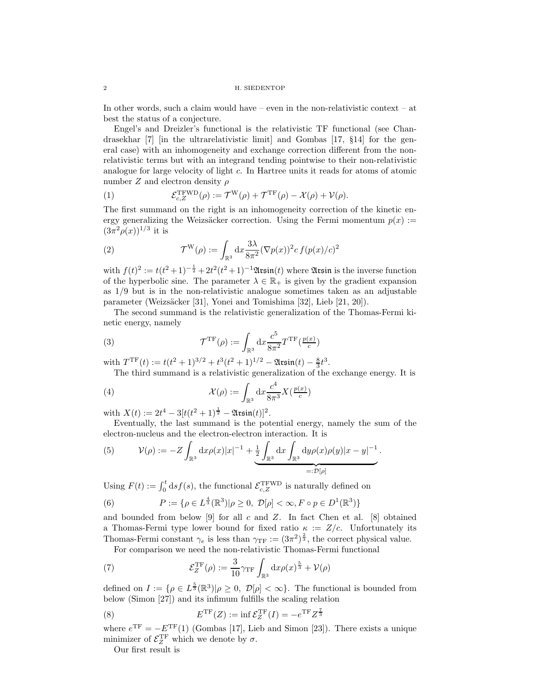In other words, such a claim would have – even in the non-relativistic context – at best the status of a conjecture.

Engel's and Dreizler's functional is the relativistic TF functional (see Chandrasekhar [7] [in the ultrarelativistic limit] and Gombas [17, §14] for the general case) with an inhomogeneity and exchange correction different from the nonrelativistic terms but with an integrand tending pointwise to their non-relativistic analogue for large velocity of light c. In Hartree units it reads for atoms of atomic number  $Z$  and electron density  $\rho$ 

(1) 
$$
\mathcal{E}_{c,Z}^{\text{TFWD}}(\rho) := \mathcal{T}^{\text{W}}(\rho) + \mathcal{T}^{\text{TF}}(\rho) - \mathcal{X}(\rho) + \mathcal{V}(\rho).
$$

The first summand on the right is an inhomogeneity correction of the kinetic energy generalizing the Weizsäcker correction. Using the Fermi momentum  $p(x) :=$  $(3\pi^2\rho(x))^{1/3}$  it is

(2) 
$$
\mathcal{T}^{\mathcal{W}}(\rho) := \int_{\mathbb{R}^3} dx \frac{3\lambda}{8\pi^2} (\nabla p(x))^2 c f(p(x)/c)^2
$$

with  $f(t)^2 := t(t^2+1)^{-\frac{1}{2}} + 2t^2(t^2+1)^{-1}$  Atsin $(t)$  where Atsin is the inverse function of the hyperbolic sine. The parameter  $\lambda \in \mathbb{R}_+$  is given by the gradient expansion as 1/9 but is in the non-relativistic analogue sometimes taken as an adjustable parameter (Weizsäcker [31], Yonei and Tomishima [32], Lieb [21, 20]).

The second summand is the relativistic generalization of the Thomas-Fermi kinetic energy, namely

(3) 
$$
\mathcal{T}^{\mathrm{TF}}(\rho) := \int_{\mathbb{R}^3} dx \frac{c^5}{8\pi^2} T^{\mathrm{TF}}(\frac{p(x)}{c})
$$

with  $T^{\text{TF}}(t) := t(t^2 + 1)^{3/2} + t^3(t^2 + 1)^{1/2} - 2\text{train}(t) - \frac{8}{3}t^3$ . The third summand is a relativistic generalization of the exchange energy. It is

(4) 
$$
\mathcal{X}(\rho) := \int_{\mathbb{R}^3} dx \frac{c^4}{8\pi^3} X(\frac{p(x)}{c})
$$

with  $X(t) := 2t^4 - 3[t(t^2 + 1)^{\frac{1}{2}} - \mathfrak{Assin}(t)]^2$ .

Eventually, the last summand is the potential energy, namely the sum of the electron-nucleus and the electron-electron interaction. It is

(5) 
$$
\mathcal{V}(\rho) := -Z \int_{\mathbb{R}^3} dx \rho(x) |x|^{-1} + \underbrace{\frac{1}{2} \int_{\mathbb{R}^3} dx \int_{\mathbb{R}^3} dy \rho(x) \rho(y) |x - y|^{-1}}_{=: \mathcal{D}[\rho]}.
$$

Using  $F(t) := \int_0^t ds f(s)$ , the functional  $\mathcal{E}_{c,Z}^{\text{TFWD}}$  is naturally defined on

(6) 
$$
P := \{ \rho \in L^{\frac{4}{3}}(\mathbb{R}^3) | \rho \ge 0, \ \mathcal{D}[\rho] < \infty, F \circ p \in D^1(\mathbb{R}^3) \}
$$

and bounded from below [9] for all c and Z. In fact Chen et al. [8] obtained a Thomas-Fermi type lower bound for fixed ratio  $\kappa := Z/c$ . Unfortunately its Thomas-Fermi constant  $\gamma_e$  is less than  $\gamma_{\text{TF}} := (3\pi^2)^{\frac{2}{3}}$ , the correct physical value.

For comparison we need the non-relativistic Thomas-Fermi functional

(7) 
$$
\mathcal{E}_Z^{\mathrm{TF}}(\rho) := \frac{3}{10} \gamma_{\mathrm{TF}} \int_{\mathbb{R}^3} dx \rho(x)^{\frac{5}{3}} + \mathcal{V}(\rho)
$$

defined on  $I := \{ \rho \in L^{\frac{5}{3}}(\mathbb{R}^3) | \rho \geq 0, \mathcal{D}[\rho] < \infty \}$ . The functional is bounded from below (Simon [27]) and its infimum fulfills the scaling relation

(8) 
$$
E^{\mathrm{TF}}(Z) := \inf \mathcal{E}_Z^{\mathrm{TF}}(I) = -e^{\mathrm{TF}} Z^{\frac{7}{3}}
$$

where  $e^{TF} = -E^{TF}(1)$  (Gombas [17], Lieb and Simon [23]). There exists a unique minimizer of  $\mathcal{E}_Z^{\rm TF}$  which we denote by  $\sigma$ .

Our first result is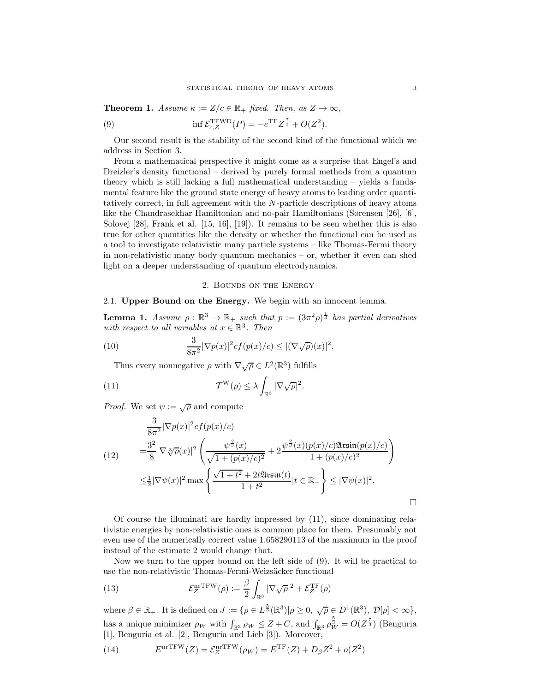**Theorem 1.** Assume  $\kappa := Z/c \in \mathbb{R}_+$  fixed. Then, as  $Z \to \infty$ ,

(9) 
$$
\inf \mathcal{E}_{c,Z}^{\text{TFWD}}(P) = -e^{\text{TF}} Z^{\frac{7}{3}} + O(Z^2).
$$

Our second result is the stability of the second kind of the functional which we address in Section 3.

From a mathematical perspective it might come as a surprise that Engel's and Dreizler's density functional – derived by purely formal methods from a quantum theory which is still lacking a full mathematical understanding – yields a fundamental feature like the ground state energy of heavy atoms to leading order quantitatively correct, in full agreement with the N-particle descriptions of heavy atoms like the Chandrasekhar Hamiltonian and no-pair Hamiltonians (Sørensen [26], [6], Solovej [28], Frank et al. [15, 16], [19]). It remains to be seen whether this is also true for other quantities like the density or whether the functional can be used as a tool to investigate relativistic many particle systems – like Thomas-Fermi theory in non-relativistic many body quantum mechanics – or, whether it even can shed light on a deeper understanding of quantum electrodynamics.

## 2. Bounds on the Energy

# 2.1. Upper Bound on the Energy. We begin with an innocent lemma.

**Lemma 1.** Assume  $\rho : \mathbb{R}^3 \to \mathbb{R}_+$  such that  $p := (3\pi^2 \rho)^{\frac{1}{3}}$  has partial derivatives with respect to all variables at  $x \in \mathbb{R}^3$ . Then

(10) 
$$
\frac{3}{8\pi^2} |\nabla p(x)|^2 cf(p(x)/c) \leq |(\nabla \sqrt{\rho})(x)|^2.
$$

Thus every nonnegative  $\rho$  with  $\nabla \sqrt{\rho} \in L^2(\mathbb{R}^3)$  fulfills

(11) 
$$
\mathcal{T}^{\mathrm{W}}(\rho) \leq \lambda \int_{\mathbb{R}^3} |\nabla \sqrt{\rho}|^2.
$$

*Proof.* We set  $\psi := \sqrt{\rho}$  and compute

$$
\frac{3}{8\pi^2} |\nabla p(x)|^2 cf(p(x)/c)
$$
\n
$$
= \frac{3^2}{8} |\nabla \sqrt[3]{\rho(x)}|^2 \left( \frac{\psi^{\frac{2}{3}}(x)}{\sqrt{1 + (p(x)/c)^2}} + 2 \frac{\psi^{\frac{2}{3}}(x)(p(x)/c) \mathfrak{Ass}(p(x)/c)}{1 + (p(x)/c)^2} \right)
$$
\n
$$
\leq \frac{1}{2} |\nabla \psi(x)|^2 \max \left\{ \frac{\sqrt{1 + t^2} + 2t \mathfrak{Ass}(t)}{1 + t^2} |t \in \mathbb{R}_+ \right\} \leq |\nabla \psi(x)|^2.
$$

Of course the illuminati are hardly impressed by (11), since dominating relativistic energies by non-relativistic ones is common place for them. Presumably not even use of the numerically correct value 1.658290113 of the maximum in the proof instead of the estimate 2 would change that.

Now we turn to the upper bound on the left side of (9). It will be practical to use the non-relativistic Thomas-Fermi-Weizsäcker functional

(13) 
$$
\mathcal{E}_Z^{\text{nrTFW}}(\rho) := \frac{\beta}{2} \int_{\mathbb{R}^3} |\nabla \sqrt{\rho}|^2 + \mathcal{E}_Z^{\text{TF}}(\rho)
$$

where  $\beta \in \mathbb{R}_+$ . It is defined on  $J := \{ \rho \in L^{\frac{5}{3}}(\mathbb{R}^3) | \rho \geq 0, \sqrt{\rho} \in D^1(\mathbb{R}^3), \mathcal{D}[\rho] < \infty \},$ has a unique minimizer  $\rho_W$  with  $\int_{\mathbb{R}^3} \rho_W \leq Z + C$ , and  $\int_{\mathbb{R}^3} \rho_W^{\frac{5}{3}} = O(Z^{\frac{7}{3}})$  (Benguria [1], Benguria et al. [2], Benguria and Lieb [3]). Moreover,

 $(14)$  $\mathrm{Tr}^{\mathrm{TFW}}(Z) = \mathcal{E}_Z^{\mathrm{nrTFW}}(\rho_W) = E^{\mathrm{TF}}(Z) + D_\beta Z^2 + o(Z^2)$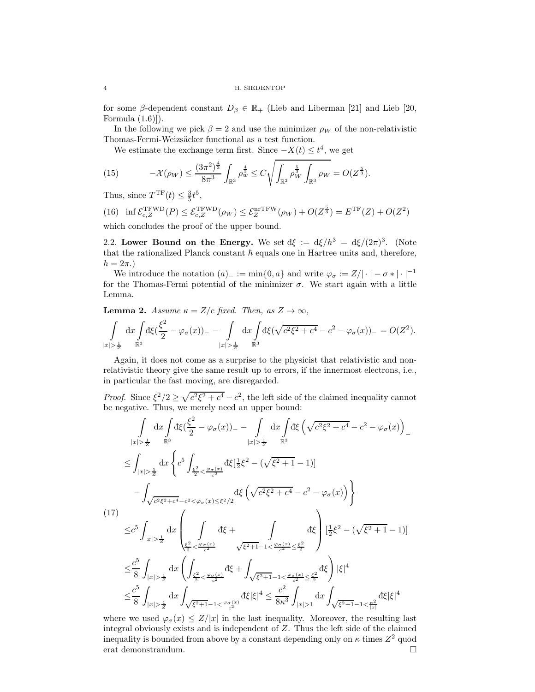for some  $\beta$ -dependent constant  $D_{\beta} \in \mathbb{R}_{+}$  (Lieb and Liberman [21] and Lieb [20, Formula (1.6)]).

In the following we pick  $\beta = 2$  and use the minimizer  $\rho_W$  of the non-relativistic Thomas-Fermi-Weizsäcker functional as a test function.

We estimate the exchange term first. Since  $-X(t) \leq t^4$ , we get

(15) 
$$
-\mathcal{X}(\rho_W) \leq \frac{(3\pi^2)^{\frac{4}{3}}}{8\pi^3} \int_{\mathbb{R}^3} \rho_w^{\frac{4}{3}} \leq C \sqrt{\int_{\mathbb{R}^3} \rho_W^{\frac{5}{3}} \int_{\mathbb{R}^3} \rho_W} = O(Z^{\frac{5}{3}}).
$$

Thus, since  $T^{\text{TF}}(t) \leq \frac{3}{5}t^5$ ,

(16) inf 
$$
\mathcal{E}_{c,Z}^{\text{TFWD}}(P) \leq \mathcal{E}_{c,Z}^{\text{TFWD}}(\rho_W) \leq \mathcal{E}_Z^{\text{nrfFW}}(\rho_W) + O(Z^{\frac{5}{3}}) = E^{\text{TF}}(Z) + O(Z^2)
$$
  
which concludes the proof of the unpart bound

which concludes the proof of the upper bound.

2.2. Lower Bound on the Energy. We set  $d\xi := d\xi/h^3 = d\xi/(2\pi)^3$ . (Note that the rationalized Planck constant  $\hbar$  equals one in Hartree units and, therefore,  $h = 2\pi$ .

We introduce the notation  $(a)$ <sub>−</sub> := min{0, a} and write  $\varphi_{\sigma}$  := Z/| · | −  $\sigma$  \* | · |<sup>-1</sup> for the Thomas-Fermi potential of the minimizer  $\sigma$ . We start again with a little Lemma.

**Lemma 2.** Assume  $\kappa = Z/c$  fixed. Then, as  $Z \to \infty$ ,

$$
\int_{|x|>\frac{1}{2}} dx \int_{\mathbb{R}^3} d\xi \left( \frac{\xi^2}{2} - \varphi_{\sigma}(x) \right)_{-} - \int_{|x|>\frac{1}{2}} dx \int_{\mathbb{R}^3} d\xi \left( \sqrt{c^2 \xi^2 + c^4} - c^2 - \varphi_{\sigma}(x) \right)_{-} = O(Z^2).
$$

Again, it does not come as a surprise to the physicist that relativistic and nonrelativistic theory give the same result up to errors, if the innermost electrons, i.e., in particular the fast moving, are disregarded.

*Proof.* Since  $\xi^2/2 \ge \sqrt{c^2 \xi^2 + c^4} - c^2$ , the left side of the claimed inequality cannot be negative. Thus, we merely need an upper bound:

$$
\int_{|x|>\frac{1}{2}} dx \int_{|x|>\frac{1}{2}} dx \left( \frac{\xi^2}{2} - \varphi_{\sigma}(x) \right) = - \int_{|x|>\frac{1}{2}} dx \int_{\mathbb{R}^3} d\xi \left( \sqrt{c^2 \xi^2 + c^4} - c^2 - \varphi_{\sigma}(x) \right) =
$$
\n
$$
\leq \int_{|x|>\frac{1}{2}} dx \left\{ c^5 \int_{\frac{\xi^2}{2} < \frac{\varphi_{\sigma}(x)}{c^2}} d\xi \left[ \frac{1}{2} \xi^2 - (\sqrt{\xi^2 + 1} - 1) \right] - \int_{\sqrt{c^2 \xi^2 + c^4} - c^2 < \varphi_{\sigma}(x) \le \xi^2/2} d\xi \left( \sqrt{c^2 \xi^2 + c^4} - c^2 - \varphi_{\sigma}(x) \right) \right\}
$$
\n(17)\n
$$
\leq c^5 \int_{|x|>\frac{1}{2}} dx \left( \int_{\frac{\xi^2}{2} < \frac{\varphi_{\sigma}(x)}{c^2}} d\xi + \int_{\sqrt{\xi^2 + 1} - 1 < \frac{\varphi_{\sigma}(x)}{c^2} \le \frac{\xi^2}{2}} \right) \left[ \frac{1}{2} \xi^2 - (\sqrt{\xi^2 + 1} - 1) \right]
$$
\n
$$
\leq \frac{c^5}{8} \int_{|x|>\frac{1}{2}} dx \left( \int_{\frac{\xi^2}{2} < \frac{\varphi_{\sigma}(x)}{c^2}} d\xi + \int_{\sqrt{\xi^2 + 1} - 1 < \frac{\varphi_{\sigma}(x)}{c^2} \le \frac{\xi^2}{2}} d\xi \right) |\xi|^4
$$
\n
$$
\leq \frac{c^5}{8} \int_{|x|>\frac{1}{2}} dx \int_{\sqrt{\xi^2 + 1} - 1 < \frac{\varphi_{\sigma}(x)}{c^2}} d\xi |\xi|^4 \leq \frac{c^2}{8\kappa^3} \int_{|x|>1} dx \int_{\sqrt{\xi^2 + 1} - 1 < \frac{\kappa^2}{|x|} } d\xi |\xi|^4
$$

where we used  $\varphi_{\sigma}(x) \leq Z/|x|$  in the last inequality. Moreover, the resulting last integral obviously exists and is independent of Z. Thus the left side of the claimed inequality is bounded from above by a constant depending only on  $\kappa$  times  $Z^2$  quod erat demonstrandum.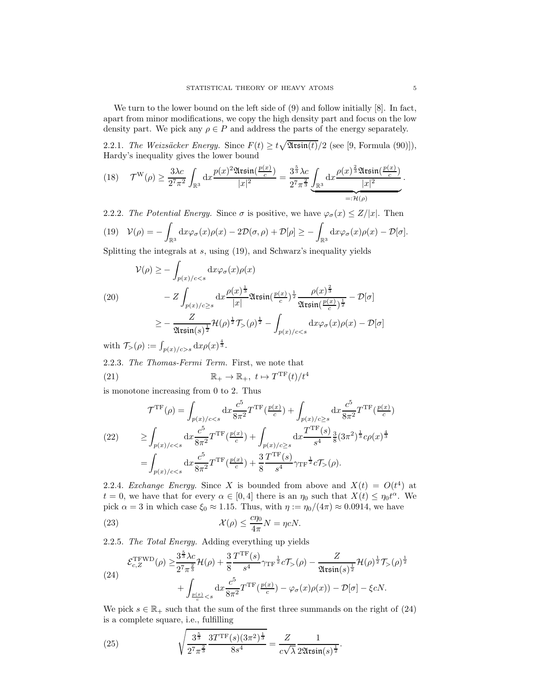We turn to the lower bound on the left side of (9) and follow initially [8]. In fact, apart from minor modifications, we copy the high density part and focus on the low density part. We pick any  $\rho \in P$  and address the parts of the energy separately.

2.2.1. The Weizsäcker Energy. Since  $F(t) \ge t\sqrt{\mathfrak{Assin}(t)}/2$  (see [9, Formula (90)]), Hardy's inequality gives the lower bound

$$
(18) \quad \mathcal{T}^{\mathcal{W}}(\rho) \ge \frac{3\lambda c}{2^7 \pi^2} \int_{\mathbb{R}^3} dx \frac{p(x)^2 \mathfrak{Assin}(\frac{p(x)}{c})}{|x|^2} = \frac{3^{\frac{5}{3}}\lambda c}{2^7 \pi^{\frac{2}{3}}} \underbrace{\int_{\mathbb{R}^3} dx \frac{\rho(x)^{\frac{2}{3}} \mathfrak{Assin}(\frac{p(x)}{c})}{|x|^2}}_{=: \mathcal{H}(\rho)}.
$$

2.2.2. The Potential Energy. Since  $\sigma$  is positive, we have  $\varphi_{\sigma}(x) \leq Z/|x|$ . Then (19)  $V(\rho) = \int_{\mathbb{R}^3}\mathrm{d} x\varphi_\sigma(x)\rho(x) - 2\mathcal{D}(\sigma,\rho) + \mathcal{D}[\rho] \geq -\int_{\mathbb{R}^3}\mathrm{d} x\varphi_\sigma(x)\rho(x) - \mathcal{D}[\sigma].$ 

Splitting the integrals at  $s$ , using  $(19)$ , and Schwarz's inequality yields

$$
\mathcal{V}(\rho) \geq -\int_{p(x)/c < s} dx \varphi_{\sigma}(x)\rho(x)
$$
\n
$$
(20) \qquad -Z \int_{p(x)/c \geq s} dx \frac{\rho(x)^{\frac{1}{3}}}{|x|} \mathfrak{Assin}(\frac{p(x)}{c})^{\frac{1}{2}} \frac{\rho(x)^{\frac{2}{3}}}{\mathfrak{Assin}(\frac{p(x)}{c})^{\frac{1}{2}}} - \mathcal{D}[\sigma]
$$
\n
$$
\geq -\frac{Z}{\mathfrak{Assin}(s)^{\frac{1}{2}}} \mathcal{H}(\rho)^{\frac{1}{2}} \mathcal{T}_{>}(\rho)^{\frac{1}{2}} - \int_{p(x)/c < s} dx \varphi_{\sigma}(x)\rho(x) - \mathcal{D}[\sigma]
$$

with  $\mathcal{T}_{>}(\rho) := \int_{p(x)/c>s} dx \rho(x)^{\frac{4}{3}}$ .

2.2.3. The Thomas-Fermi Term. First, we note that (21)  $\mathbb{R}_+ \to \mathbb{R}_+$ ,  $t \mapsto T^{\mathrm{TF}}(t)/t^4$ 

is monotone increasing from 0 to 2. Thus

$$
\mathcal{T}^{\text{TF}}(\rho) = \int_{p(x)/c < s} dx \frac{c^5}{8\pi^2} T^{\text{TF}}(\frac{p(x)}{c}) + \int_{p(x)/c \ge s} dx \frac{c^5}{8\pi^2} T^{\text{TF}}(\frac{p(x)}{c})
$$
\n
$$
\ge \int_{p(x)/c < s} dx \frac{c^5}{8\pi^2} T^{\text{TF}}(\frac{p(x)}{c}) + \int_{p(x)/c \ge s} dx \frac{T^{\text{TF}}(s)}{s^4} \frac{3}{8} (3\pi^2)^{\frac{1}{3}} c\rho(x)^{\frac{4}{3}}
$$
\n
$$
= \int_{p(x)/c < s} dx \frac{c^5}{8\pi^2} T^{\text{TF}}(\frac{p(x)}{c}) + \frac{3}{8} \frac{T^{\text{TF}}(s)}{s^4} \gamma_{\text{TF}} \frac{1}{2} c \mathcal{T}_{>}(\rho).
$$

2.2.4. Exchange Energy. Since X is bounded from above and  $X(t) = O(t^4)$  at  $t = 0$ , we have that for every  $\alpha \in [0, 4]$  there is an  $\eta_0$  such that  $X(t) \leq \eta_0 t^{\alpha}$ . We pick  $\alpha = 3$  in which case  $\xi_0 \approx 1.15$ . Thus, with  $\eta := \eta_0/(4\pi) \approx 0.0914$ , we have

(23) 
$$
\mathcal{X}(\rho) \leq \frac{c\eta_0}{4\pi} N = \eta c N.
$$

2.2.5. The Total Energy. Adding everything up yields

(24)  

$$
\mathcal{E}_{c,Z}^{\text{TFWD}}(\rho) \geq \frac{3^{\frac{5}{3}}\lambda c}{2^7 \pi^{\frac{2}{3}}} \mathcal{H}(\rho) + \frac{3}{8} \frac{T^{\text{TF}}(s)}{s^4} \gamma_{\text{TF}}^{\frac{1}{2}} c \mathcal{T}_{>}(\rho) - \frac{Z}{\mathfrak{Assin}(s)^{\frac{1}{2}}} \mathcal{H}(\rho)^{\frac{1}{2}} \mathcal{T}_{>}(\rho)^{\frac{1}{2}} + \int_{\frac{p(x)}{c} < s} dx \frac{c^5}{8\pi^2} T^{\text{TF}}(\frac{p(x)}{c}) - \varphi_{\sigma}(x)\rho(x) - \mathcal{D}[\sigma] - \xi c N.
$$

We pick  $s \in \mathbb{R}_+$  such that the sum of the first three summands on the right of  $(24)$ is a complete square, i.e., fulfilling

(25) 
$$
\sqrt{\frac{3^{\frac{5}{3}}}{2^7 \pi^{\frac{2}{3}}}} \frac{3 T^{\text{TF}}(s) (3\pi^2)^{\frac{1}{3}}}{8s^4} = \frac{Z}{c\sqrt{\lambda}} \frac{1}{2 \mathfrak{A} \sin(s)^{\frac{1}{2}}}.
$$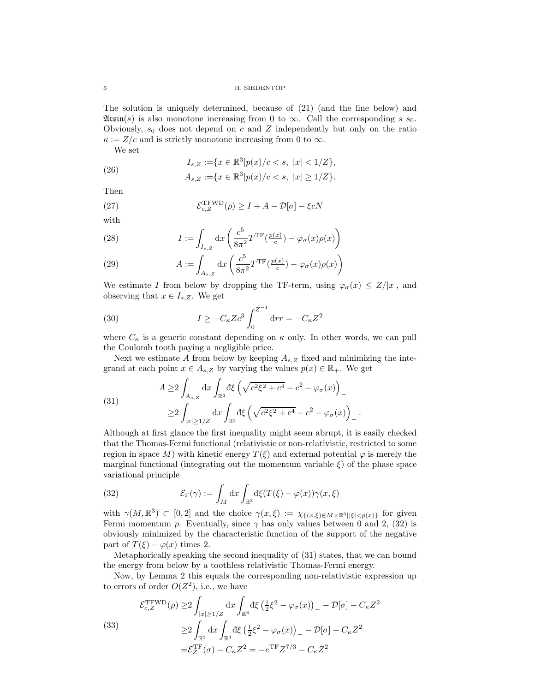6 H. SIEDENTOP

The solution is uniquely determined, because of (21) (and the line below) and  $\mathfrak{Assn}(s)$  is also monotone increasing from 0 to  $\infty$ . Call the corresponding s s<sub>0</sub>. Obviously,  $s_0$  does not depend on c and Z independently but only on the ratio  $\kappa := Z/c$  and is strictly monotone increasing from 0 to  $\infty$ .

We set

(26) 
$$
I_{s,Z} := \{x \in \mathbb{R}^3 | p(x)/c < s, \ |x| < 1/Z\},
$$

$$
A_{s,Z} := \{x \in \mathbb{R}^3 | p(x)/c < s, \ |x| \ge 1/Z\}.
$$

Then

(27) 
$$
\mathcal{E}_{c,Z}^{\text{TFWD}}(\rho) \geq I + A - \mathcal{D}[\sigma] - \xi c N
$$

with

(28) 
$$
I := \int_{I_{s,z}} dx \left( \frac{c^5}{8\pi^2} T^{\mathrm{TF}} \left( \frac{p(x)}{c} \right) - \varphi_\sigma(x) \rho(x) \right)
$$

(29) 
$$
A := \int_{A_{s,Z}} dx \left( \frac{c^5}{8\pi^2} T^{\text{TF}}(\frac{p(x)}{c}) - \varphi_{\sigma}(x)\rho(x) \right)
$$

We estimate I from below by dropping the TF-term, using  $\varphi_{\sigma}(x) \leq Z/|x|$ , and observing that  $x \in I_{s,Z}$ . We get

(30) 
$$
I \ge -C_{\kappa} Z c^3 \int_0^{Z^{-1}} dr r = -C_{\kappa} Z^2
$$

where  $C_{\kappa}$  is a generic constant depending on  $\kappa$  only. In other words, we can pull the Coulomb tooth paying a negligible price.

Next we estimate A from below by keeping  $A_{s,Z}$  fixed and minimizing the integrand at each point  $x \in A_{s,Z}$  by varying the values  $p(x) \in \mathbb{R}_+$ . We get

(31)  

$$
A \ge 2 \int_{A_{s,Z}} dx \int_{\mathbb{R}^3} d\xi \left( \sqrt{c^2 \xi^2 + c^4} - c^2 - \varphi_{\sigma}(x) \right)_{-}
$$

$$
\ge 2 \int_{|x| \ge 1/Z} dx \int_{\mathbb{R}^3} d\xi \left( \sqrt{c^2 \xi^2 + c^4} - c^2 - \varphi_{\sigma}(x) \right)_{-}.
$$

Although at first glance the first inequality might seem abrupt, it is easily checked that the Thomas-Fermi functional (relativistic or non-relativistic, restricted to some region in space M) with kinetic energy  $T(\xi)$  and external potential  $\varphi$  is merely the marginal functional (integrating out the momentum variable  $\xi$ ) of the phase space variational principle

(32) 
$$
\mathcal{E}_{\Gamma}(\gamma) := \int_M dx \int_{\mathbb{R}^3} d\xi (T(\xi) - \varphi(x)) \gamma(x, \xi)
$$

with  $\gamma(M, \mathbb{R}^3) \subset [0, 2]$  and the choice  $\gamma(x, \xi) := \chi_{\{(x,\xi) \in M \times \mathbb{R}^3 \mid |\xi| < p(x)\}}$  for given Fermi momentum p. Eventually, since  $\gamma$  has only values between 0 and 2, (32) is obviously minimized by the characteristic function of the support of the negative part of  $T(\xi) - \varphi(x)$  times 2.

Metaphorically speaking the second inequality of (31) states, that we can bound the energy from below by a toothless relativistic Thomas-Fermi energy.

Now, by Lemma 2 this equals the corresponding non-relativistic expression up to errors of order  $O(Z^2)$ , i.e., we have

(33)  

$$
\mathcal{E}_{c,Z}^{\text{TFWD}}(\rho) \ge 2 \int_{|x|\ge 1/Z} dx \int_{\mathbb{R}^3} d\xi \left(\frac{1}{2}\xi^2 - \varphi_{\sigma}(x)\right)_- - \mathcal{D}[\sigma] - C_{\kappa}Z^2
$$

$$
\ge 2 \int_{\mathbb{R}^3} dx \int_{\mathbb{R}^3} d\xi \left(\frac{1}{2}\xi^2 - \varphi_{\sigma}(x)\right)_- - \mathcal{D}[\sigma] - C_{\kappa}Z^2
$$

$$
= \mathcal{E}_Z^{\text{TF}}(\sigma) - C_{\kappa}Z^2 = -e^{\text{TF}}Z^{7/3} - C_{\kappa}Z^2
$$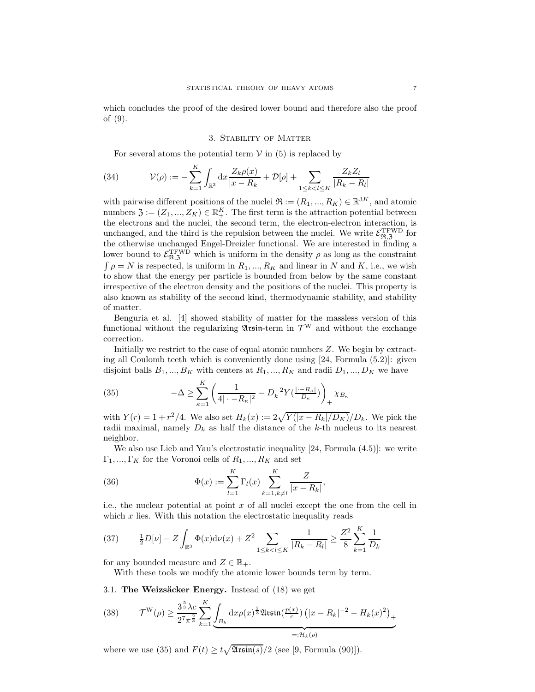which concludes the proof of the desired lower bound and therefore also the proof of (9).

## 3. Stability of Matter

For several atoms the potential term  $V$  in (5) is replaced by

(34) 
$$
\mathcal{V}(\rho) := -\sum_{k=1}^{K} \int_{\mathbb{R}^3} dx \frac{Z_k \rho(x)}{|x - R_k|} + \mathcal{D}[\rho] + \sum_{1 \le k < l \le K} \frac{Z_k Z_l}{|R_k - R_l|}
$$

with pairwise different positions of the nuclei  $\mathfrak{R} := (R_1, ..., R_K) \in \mathbb{R}^{3K}$ , and atomic numbers  $\mathfrak{Z} := (Z_1, ..., Z_K) \in \mathbb{R}_+^K$ . The first term is the attraction potential between the electrons and the nuclei, the second term, the electron-electron interaction, is unchanged, and the third is the repulsion between the nuclei. We write  $\mathcal{E}_{\mathfrak{R},\mathfrak{Z}}^{\rm TFWD}$  for the otherwise unchanged Engel-Dreizler functional. We are interested in finding a lower bound to  $\mathcal{E}_{\Re,3}^{\rm TFWD}$  which is uniform in the density  $\rho$  as long as the constraint  $\int \rho = N$  is respected, is uniform in  $R_1, ..., R_K$  and linear in N and K, i.e., we wish to show that the energy per particle is bounded from below by the same constant irrespective of the electron density and the positions of the nuclei. This property is also known as stability of the second kind, thermodynamic stability, and stability of matter.

Benguria et al. [4] showed stability of matter for the massless version of this functional without the regularizing  $\mathfrak{Assim}$ -term in  $\mathcal{T}^W$  and without the exchange correction.

Initially we restrict to the case of equal atomic numbers Z. We begin by extracting all Coulomb teeth which is conveniently done using [24, Formula (5.2)]: given disjoint balls  $B_1, ..., B_K$  with centers at  $R_1, ..., R_K$  and radii  $D_1, ..., D_K$  we have

(35) 
$$
-\Delta \ge \sum_{\kappa=1}^{K} \left( \frac{1}{4|\cdot - R_{\kappa}|^{2}} - D_{k}^{-2} Y(\frac{|\cdot - R_{\kappa}|}{D_{\kappa}}) \right)_{+} \chi_{B_{\kappa}}
$$

with  $Y(r) = 1 + r^2/4$ . We also set  $H_k(x) := 2\sqrt{Y(|x - R_k|/D_K)}/D_k$ . We pick the radii maximal, namely  $D_k$  as half the distance of the k-th nucleus to its nearest neighbor.

We also use Lieb and Yau's electrostatic inequality [24, Formula (4.5)]: we write  $\Gamma_1, ..., \Gamma_K$  for the Voronoi cells of  $R_1, ..., R_K$  and set

(36) 
$$
\Phi(x) := \sum_{l=1}^{K} \Gamma_l(x) \sum_{k=1, k \neq l}^{K} \frac{Z}{|x - R_k|},
$$

i.e., the nuclear potential at point x of all nuclei except the one from the cell in which  $x$  lies. With this notation the electrostatic inequality reads

(37) 
$$
\frac{1}{2}D[\nu] - Z \int_{\mathbb{R}^3} \Phi(x) d\nu(x) + Z^2 \sum_{1 \le k < l \le K} \frac{1}{|R_k - R_l|} \ge \frac{Z^2}{8} \sum_{k=1}^K \frac{1}{D_k}
$$

for any bounded measure and  $Z \in \mathbb{R}_+$ .

55

With these tools we modify the atomic lower bounds term by term.

3.1. The Weizsäcker Energy. Instead of  $(18)$  we get

(38) 
$$
\mathcal{T}^{\mathcal{W}}(\rho) \ge \frac{3^{\frac{5}{3}}\lambda c}{2^7 \pi^{\frac{2}{3}}} \sum_{k=1}^{K} \underbrace{\int_{B_k} dx \rho(x)^{\frac{2}{3}} \mathfrak{Assin}(\frac{p(x)}{c}) (\vert x - R_k \vert^{-2} - H_k(x)^2)}_{=: \mathcal{H}_k(\rho)} +
$$

where we use (35) and  $F(t) \ge t\sqrt{\mathfrak{Assin}(s)}/2$  (see [9, Formula (90)]).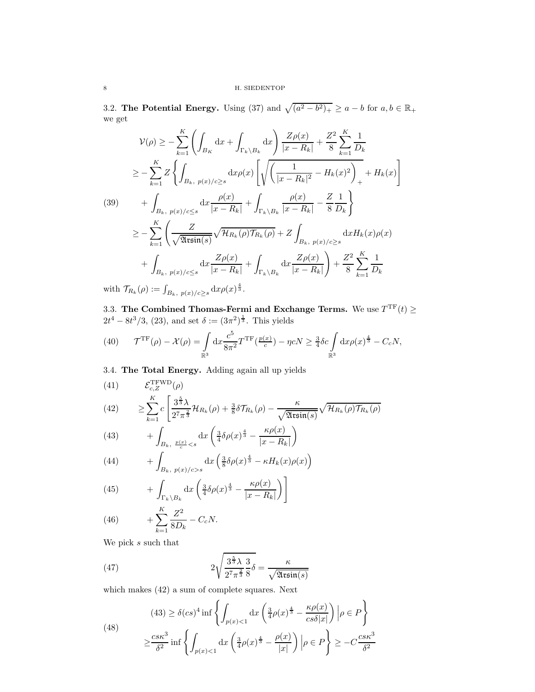3.2. The Potential Energy. Using (37) and  $\sqrt{(a^2-b^2)_+} \ge a-b$  for  $a, b \in \mathbb{R}_+$ we get

$$
\mathcal{V}(\rho) \geq -\sum_{k=1}^{K} \left( \int_{B_{K}} dx + \int_{\Gamma_{k} \setminus B_{k}} dx \right) \frac{Z\rho(x)}{|x - R_{k}|} + \frac{Z^{2}}{8} \sum_{k=1}^{K} \frac{1}{D_{k}}
$$
  
\n
$$
\geq -\sum_{k=1}^{K} Z \left\{ \int_{B_{k}, p(x)/c \geq s} dx \rho(x) \left[ \sqrt{\left( \frac{1}{|x - R_{k}|^{2}} - H_{k}(x)^{2} \right)_{+}} + H_{k}(x) \right] \right\}
$$
  
\n(39) 
$$
+ \int_{B_{k}, p(x)/c \leq s} dx \frac{\rho(x)}{|x - R_{k}|} + \int_{\Gamma_{k} \setminus B_{k}} \frac{\rho(x)}{|x - R_{k}|} - \frac{Z}{8} \frac{1}{D_{k}} \right\}
$$
  
\n
$$
\geq -\sum_{k=1}^{K} \left( \frac{Z}{\sqrt{\mathfrak{Assin}(s)}} \sqrt{\mathcal{H}_{R_{k}}(\rho) \mathcal{T}_{R_{k}}(\rho)} + Z \int_{B_{k}, p(x)/c \geq s} dx H_{k}(x) \rho(x)
$$
  
\n
$$
+ \int_{B_{k}, p(x)/c \leq s} dx \frac{Z\rho(x)}{|x - R_{k}|} + \int_{\Gamma_{k} \setminus B_{k}} dx \frac{Z\rho(x)}{|x - R_{k}|} + \frac{Z^{2}}{8} \sum_{k=1}^{K} \frac{1}{D_{k}}
$$
  
\nwith  $\mathcal{T}_{R_{k}}(\rho) := \int_{B_{k}, p(x)/c \geq s} dx \rho(x)^{\frac{4}{3}}.$ 

3.3. The Combined Thomas-Fermi and Exchange Terms. We use  $T^{TF}(t) \ge$  $2t^4 - 8t^3/3$ , (23), and set  $\delta := (3\pi^2)^{\frac{1}{3}}$ . This yields

(40) 
$$
\mathcal{T}^{\mathrm{TF}}(\rho) - \mathcal{X}(\rho) = \int_{\mathbb{R}^3} dx \frac{c^5}{8\pi^2} T^{\mathrm{TF}}(\frac{p(x)}{c}) - \eta c N \ge \frac{3}{4} \delta c \int_{\mathbb{R}^3} dx \rho(x)^{\frac{4}{3}} - C_c N,
$$

3.4. The Total Energy. Adding again all up yields

(41) 
$$
\mathcal{E}_{c,Z}^{\text{TFWD}}(\rho)
$$
  
(42) 
$$
\geq \sum_{k=1}^{K} c \left[ \frac{3^{\frac{5}{3}} \lambda}{2^7 \pi^{\frac{2}{3}}} \mathcal{H}_{R_k}(\rho) + \frac{3}{8} \delta \mathcal{T}_{R_k}(\rho) - \frac{\kappa}{\sqrt{2 \pi \sin(s)}} \sqrt{\mathcal{H}_{R_k}(\rho) \mathcal{T}_{R_k}(\rho)}
$$

(43) 
$$
+ \int_{B_k, \ \frac{p(x)}{c} < s} dx \left( \frac{3}{4} \delta \rho(x)^{\frac{4}{3}} - \frac{\kappa \rho(x)}{|x - R_k|} \right)
$$

(44) 
$$
+ \int_{B_k, p(x)/c>s} dx \left( \frac{3}{8} \delta \rho(x)^{\frac{4}{3}} - \kappa H_k(x) \rho(x) \right)
$$

(45) 
$$
+ \int_{\Gamma_k \backslash B_k} dx \left( \frac{3}{4} \delta \rho(x)^{\frac{4}{3}} - \frac{\kappa \rho(x)}{|x - R_k|} \right) \right]
$$

(46) 
$$
+ \sum_{k=1}^{K} \frac{Z^2}{8D_k} - C_c N.
$$

We pick  $s$  such that

(47) 
$$
2\sqrt{\frac{3^{\frac{5}{3}}\lambda}{2^7\pi^{\frac{2}{3}}} \frac{3}{8}}\delta = \frac{\kappa}{\sqrt{\mathfrak{Assin}(s)}}
$$

which makes (42) a sum of complete squares. Next

(48)  
\n
$$
(43) \ge \delta(cs)^4 \inf \left\{ \int_{p(x) < 1} dx \left( \frac{3}{4} \rho(x)^{\frac{4}{3}} - \frac{\kappa \rho(x)}{cs \delta |x|} \right) \Big| \rho \in P \right\}
$$
\n
$$
\ge \frac{cs \kappa^3}{\delta^2} \inf \left\{ \int_{p(x) < 1} dx \left( \frac{3}{4} \rho(x)^{\frac{4}{3}} - \frac{\rho(x)}{|x|} \right) \Big| \rho \in P \right\} \ge -C \frac{cs \kappa^3}{\delta^2}
$$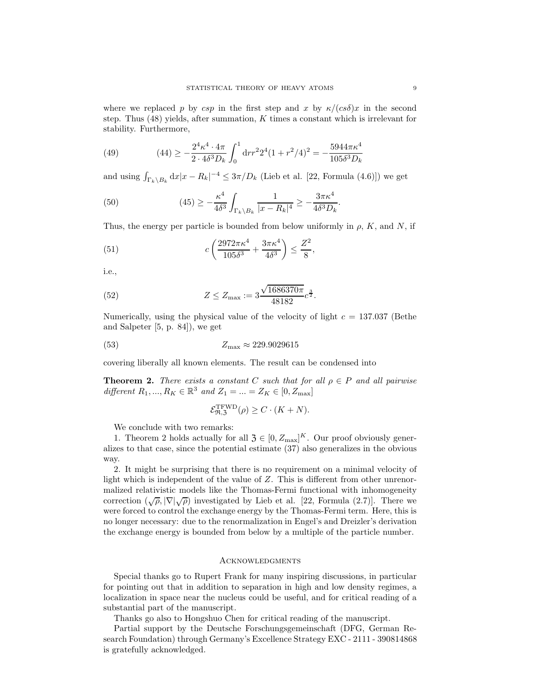where we replaced p by csp in the first step and x by  $\kappa/(cs\delta)x$  in the second step. Thus  $(48)$  yields, after summation, K times a constant which is irrelevant for stability. Furthermore,

(49) 
$$
(44) \ge -\frac{2^4 \kappa^4 \cdot 4\pi}{2 \cdot 4\delta^3 D_k} \int_0^1 dr r^2 2^4 (1 + r^2/4)^2 = -\frac{5944 \pi \kappa^4}{105 \delta^3 D_k}
$$

and using  $\int_{\Gamma_k \backslash B_k} dx |x - R_k|^{-4} \leq 3\pi/D_k$  (Lieb et al. [22, Formula (4.6)]) we get

(50) 
$$
(45) \ge -\frac{\kappa^4}{4\delta^3} \int_{\Gamma_k \setminus B_k} \frac{1}{|x - R_k|^4} \ge -\frac{3\pi\kappa^4}{4\delta^3 D_k}.
$$

Thus, the energy per particle is bounded from below uniformly in  $\rho$ , K, and N, if

(51) 
$$
c\left(\frac{2972\pi\kappa^4}{105\delta^3} + \frac{3\pi\kappa^4}{4\delta^3}\right) \le \frac{Z^2}{8},
$$

i.e.,

(52) 
$$
Z \le Z_{\text{max}} := 3 \frac{\sqrt{1686370\pi}}{48182} c^{\frac{3}{2}}.
$$

Numerically, using the physical value of the velocity of light  $c = 137.037$  (Bethe and Salpeter [5, p. 84]), we get

$$
(53) \t\t Zmax \approx 229.9029615
$$

covering liberally all known elements. The result can be condensed into

**Theorem 2.** There exists a constant C such that for all  $\rho \in P$  and all pairwise different  $R_1, ..., R_K \in \mathbb{R}^3$  and  $Z_1 = ... = Z_K \in [0, Z_{\text{max}}]$ 

$$
\mathcal{E}_{\Re,3}^{\text{TFWD}}(\rho) \ge C \cdot (K+N).
$$

We conclude with two remarks:

1. Theorem 2 holds actually for all  $\mathfrak{Z} \in [0, Z_{\text{max}}]^K$ . Our proof obviously generalizes to that case, since the potential estimate (37) also generalizes in the obvious way.

2. It might be surprising that there is no requirement on a minimal velocity of light which is independent of the value of Z. This is different from other unrenormalized relativistic models like the Thomas-Fermi functional with inhomogeneity correction  $(\sqrt{\rho}, |\nabla| \sqrt{\rho})$  investigated by Lieb et al. [22, Formula (2.7)]. There we were forced to control the exchange energy by the Thomas-Fermi term. Here, this is no longer necessary: due to the renormalization in Engel's and Dreizler's derivation the exchange energy is bounded from below by a multiple of the particle number.

# **ACKNOWLEDGMENTS**

Special thanks go to Rupert Frank for many inspiring discussions, in particular for pointing out that in addition to separation in high and low density regimes, a localization in space near the nucleus could be useful, and for critical reading of a substantial part of the manuscript.

Thanks go also to Hongshuo Chen for critical reading of the manuscript.

Partial support by the Deutsche Forschungsgemeinschaft (DFG, German Research Foundation) through Germany's Excellence Strategy EXC - 2111 - 390814868 is gratefully acknowledged.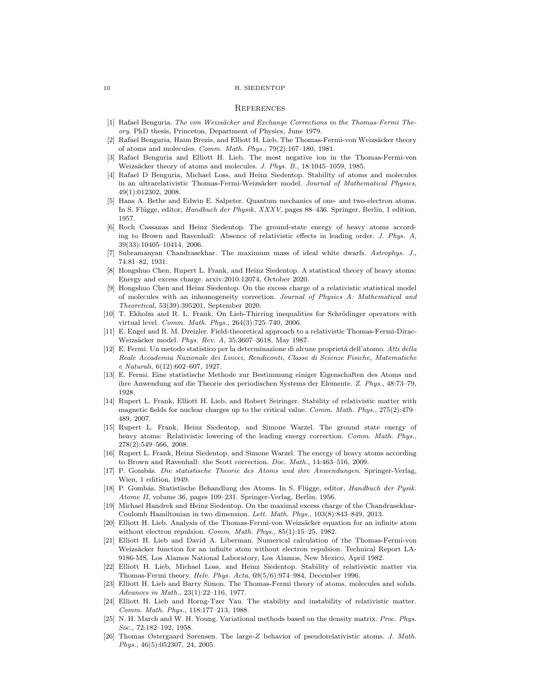#### 10 H. SIEDENTOP

### **REFERENCES**

- [1] Rafael Benguria. *The von Weizsäcker and Exchange Corrections in the Thomas-Fermi Theory*. PhD thesis, Princeton, Department of Physics, June 1979.
- [2] Rafael Benguria, Haim Brezis, and Elliott H. Lieb. The Thomas-Fermi-von Weizsäcker theory of atoms and molecules. *Comm. Math. Phys.*, 79(2):167–180, 1981.
- [3] Rafael Benguria and Elliott H. Lieb. The most negative ion in the Thomas-Fermi-von Weizsäcker theory of atoms and molecules. *J. Phys. B.*, 18:1045–1059, 1985.
- [4] Rafael D Benguria, Michael Loss, and Heinz Siedentop. Stability of atoms and molecules in an ultrarelativistic Thomas-Fermi-Weizsäcker model. *Journal of Mathematical Physics*, 49(1):012302, 2008.
- [5] Hans A. Bethe and Edwin E. Salpeter. Quantum mechanics of one- and two-electron atoms. In S. Fl¨ugge, editor, *Handbuch der Physik, XXXV*, pages 88–436. Springer, Berlin, 1 edition, 1957.
- [6] Roch Cassanas and Heinz Siedentop. The ground-state energy of heavy atoms according to Brown and Ravenhall: Absence of relativistic effects in leading order. *J. Phys. A*, 39(33):10405–10414, 2006.
- [7] Subramanyan Chandrasekhar. The maximum mass of ideal white dwarfs. *Astrophys. J.*, 74:81–82, 1931.
- [8] Hongshuo Chen, Rupert L. Frank, and Heinz Siedentop. A statistical theory of heavy atoms: Energy and excess charge. arxiv:2010.12074, October 2020.
- [9] Hongshuo Chen and Heinz Siedentop. On the excess charge of a relativistic statistical model of molecules with an inhomogeneity correction. *Journal of Physics A: Mathematical and Theoretical*, 53(39):395201, September 2020.
- [10] T. Ekholm and R. L. Frank. On Lieb-Thirring inequalities for Schrödinger operators with virtual level. *Comm. Math. Phys.*, 264(3):725–740, 2006.
- [11] E. Engel and R. M. Dreizler. Field-theoretical approach to a relativistic Thomas-Fermi-Dirac-Weizs¨acker model. *Phys. Rev. A*, 35:3607–3618, May 1987.
- [12] E. Fermi. Un metodo statistico per la determinazione di alcune propriet´a dell'atomo. *Atti della Reale Accademia Nazionale dei Lincei, Rendiconti, Classe di Scienze Fisiche, Matematiche e Naturali*, 6(12):602–607, 1927.
- [13] E. Fermi. Eine statistische Methode zur Bestimmung einiger Eigenschaften des Atoms und ihre Anwendung auf die Theorie des periodischen Systems der Elemente. *Z. Phys.*, 48:73–79, 1928.
- [14] Rupert L. Frank, Elliott H. Lieb, and Robert Seiringer. Stability of relativistic matter with magnetic fields for nuclear charges up to the critical value. *Comm. Math. Phys.*, 275(2):479– 489, 2007.
- [15] Rupert L. Frank, Heinz Siedentop, and Simone Warzel. The ground state energy of heavy atoms: Relativistic lowering of the leading energy correction. *Comm. Math. Phys.*, 278(2):549–566, 2008.
- [16] Rupert L. Frank, Heinz Siedentop, and Simone Warzel. The energy of heavy atoms according to Brown and Ravenhall: the Scott correction. *Doc. Math.*, 14:463–516, 2009.
- [17] P. Gomb´as. *Die statistische Theorie des Atoms und ihre Anwendungen*. Springer-Verlag, Wien, 1 edition, 1949.
- [18] P. Gombás. Statistische Behandlung des Atoms. In S. Flügge, editor, *Handbuch der Pysik. Atome II*, volume 36, pages 109–231. Springer-Verlag, Berlin, 1956.
- [19] Michael Handrek and Heinz Siedentop. On the maximal excess charge of the Chandrasekhar-Coulomb Hamiltonian in two dimension. *Lett. Math. Phys.*, 103(8):843–849, 2013.
- [20] Elliott H. Lieb. Analysis of the Thomas-Fermi-von Weizsäcker equation for an infinite atom without electron repulsion. *Comm. Math. Phys.*, 85(1):15–25, 1982.
- [21] Elliott H. Lieb and David A. Liberman. Numerical calculation of the Thomas-Fermi-von Weizsäcker function for an infinite atom without electron repulsion. Technical Report LA-9186-MS, Los Alamos National Laboratory, Los Alamos, New Mexico, April 1982.
- [22] Elliott H. Lieb, Michael Loss, and Heinz Siedentop. Stability of relativistic matter via Thomas-Fermi theory. *Helv. Phys. Acta*, 69(5/6):974–984, December 1996.
- [23] Elliott H. Lieb and Barry Simon. The Thomas-Fermi theory of atoms, molecules and solids. *Advances in Math.*, 23(1):22–116, 1977.
- [24] Elliott H. Lieb and Horng-Tzer Yau. The stability and instability of relativistic matter. *Comm. Math. Phys.*, 118:177–213, 1988.
- [25] N. H. March and W. H. Young. Variational methods based on the density matrix. *Proc. Phys. Soc.*, 72:182–192, 1958.
- [26] Thomas Østergaard Sørensen. The large-Z behavior of pseudorelativistic atoms. *J. Math. Phys.*, 46(5):052307, 24, 2005.